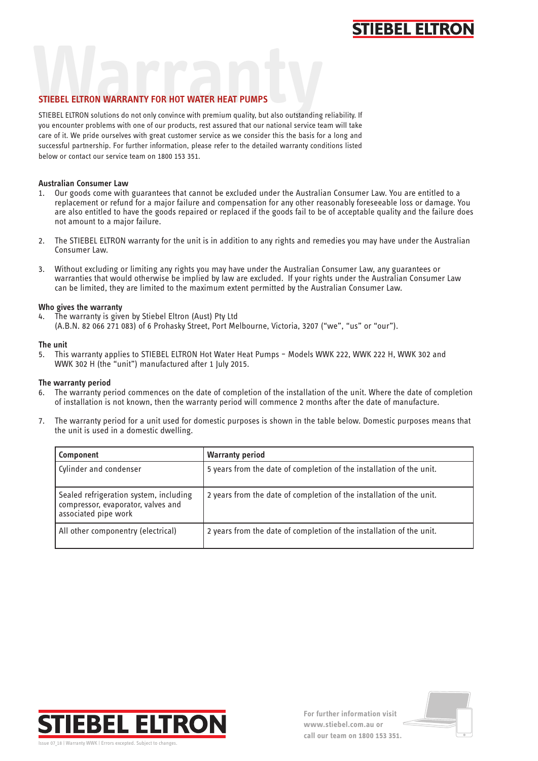## **STIEBEL ELTRO**

### **STIEBEL ELTRON WARRANTY FOR HOT WATER HEAT PUMPS**

**WARRANTY FOR HOT WATER HEAT PUMPS**<br>STIEBEL ELTRON solutions do not only convince with premium quality, but also outstanding reliability. If you encounter problems with one of our products, rest assured that our national service team will take care of it. We pride ourselves with great customer service as we consider this the basis for a long and successful partnership. For further information, please refer to the detailed warranty conditions listed below or contact our service team on 1800 153 351.

#### **Australian Consumer Law**

- 1. Our goods come with guarantees that cannot be excluded under the Australian Consumer Law. You are entitled to a replacement or refund for a major failure and compensation for any other reasonably foreseeable loss or damage. You are also entitled to have the goods repaired or replaced if the goods fail to be of acceptable quality and the failure does not amount to a major failure.
- 2. The STIEBEL ELTRON warranty for the unit is in addition to any rights and remedies you may have under the Australian Consumer Law.
- 3. Without excluding or limiting any rights you may have under the Australian Consumer Law, any guarantees or warranties that would otherwise be implied by law are excluded. If your rights under the Australian Consumer Law can be limited, they are limited to the maximum extent permitted by the Australian Consumer Law.

#### **Who gives the warranty**

4. The warranty is given by Stiebel Eltron (Aust) Pty Ltd (A.B.N. 82 066 271 083) of 6 Prohasky Street, Port Melbourne, Victoria, 3207 ("we", "us" or "our").

#### **The unit**

5. This warranty applies to STIEBEL ELTRON Hot Water Heat Pumps – Models WWK 222, WWK 222 H, WWK 302 and WWK 302 H (the "unit") manufactured after 1 July 2015.

#### **The warranty period**

- 6. The warranty period commences on the date of completion of the installation of the unit. Where the date of completion of installation is not known, then the warranty period will commence 2 months after the date of manufacture.
- 7. The warranty period for a unit used for domestic purposes is shown in the table below. Domestic purposes means that the unit is used in a domestic dwelling.

| Component                                                                                            | <b>Warranty period</b>                                               |
|------------------------------------------------------------------------------------------------------|----------------------------------------------------------------------|
| Cylinder and condenser                                                                               | 5 years from the date of completion of the installation of the unit. |
| Sealed refrigeration system, including<br>compressor, evaporator, valves and<br>associated pipe work | 2 years from the date of completion of the installation of the unit. |
| All other componentry (electrical)                                                                   | 2 years from the date of completion of the installation of the unit. |



**For further information visit www.stiebel.com.au or call our team on 1800 153 351.**

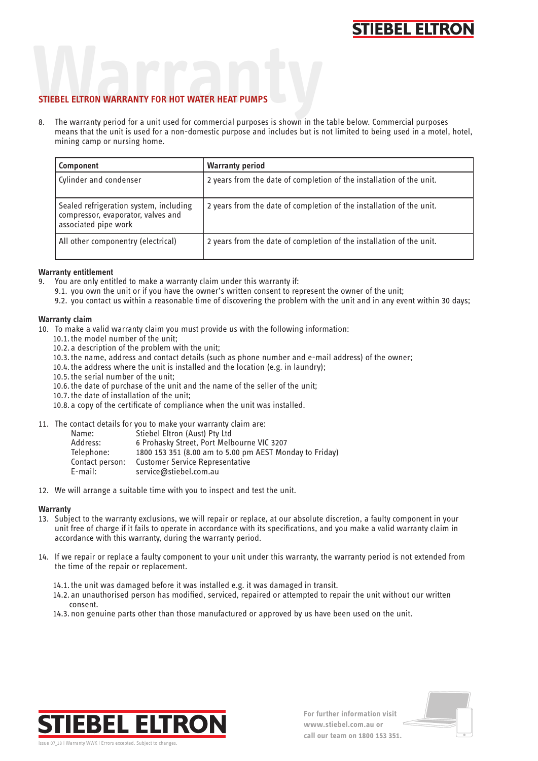## **STIEBEL ELTRON**

# **STIEBEL ELTRON WARRANTY FOR HOT WATER HEAT PUMPS STIEBEL ELTRON WARRANTY FOR HOT WATER HEAT PUMPS**

8. The warranty period for a unit used for commercial purposes is shown in the table below. Commercial purposes means that the unit is used for a non-domestic purpose and includes but is not limited to being used in a motel, hotel, mining camp or nursing home.

| Component                                                                                            | <b>Warranty period</b>                                               |
|------------------------------------------------------------------------------------------------------|----------------------------------------------------------------------|
| Cylinder and condenser                                                                               | 2 years from the date of completion of the installation of the unit. |
| Sealed refrigeration system, including<br>compressor, evaporator, valves and<br>associated pipe work | 2 years from the date of completion of the installation of the unit. |
| All other componentry (electrical)                                                                   | 2 years from the date of completion of the installation of the unit. |

#### **Warranty entitlement**

- 9. You are only entitled to make a warranty claim under this warranty if:
	- 9.1. you own the unit or if you have the owner's written consent to represent the owner of the unit;
	- 9.2. you contact us within a reasonable time of discovering the problem with the unit and in any event within 30 days;

#### **Warranty claim**

- 10. To make a valid warranty claim you must provide us with the following information:
	- 10.1. the model number of the unit;
	- 10.2. a description of the problem with the unit;
	- 10.3. the name, address and contact details (such as phone number and e-mail address) of the owner;
	- 10.4. the address where the unit is installed and the location (e.g. in laundry);
	- 10.5. the serial number of the unit;
	- 10.6. the date of purchase of the unit and the name of the seller of the unit;
	- 10.7. the date of installation of the unit;
	- 10.8. a copy of the certificate of compliance when the unit was installed.

11. The contact details for you to make your warranty claim are:

| Name:           | Stiebel Eltron (Aust) Pty Ltd                           |
|-----------------|---------------------------------------------------------|
| Address:        | 6 Prohasky Street, Port Melbourne VIC 3207              |
| Telephone:      | 1800 153 351 (8.00 am to 5.00 pm AEST Monday to Friday) |
| Contact person: | <b>Customer Service Representative</b>                  |
| $E$ -mail:      | service@stiebel.com.au                                  |
|                 |                                                         |

12. We will arrange a suitable time with you to inspect and test the unit.

#### **Warranty**

- 13. Subject to the warranty exclusions, we will repair or replace, at our absolute discretion, a faulty component in your unit free of charge if it fails to operate in accordance with its specifications, and you make a valid warranty claim in accordance with this warranty, during the warranty period.
- 14. If we repair or replace a faulty component to your unit under this warranty, the warranty period is not extended from the time of the repair or replacement.
	- 14.1. the unit was damaged before it was installed e.g. it was damaged in transit.
	- 14.2. an unauthorised person has modified, serviced, repaired or attempted to repair the unit without our written consent.
	- 14.3. non genuine parts other than those manufactured or approved by us have been used on the unit.